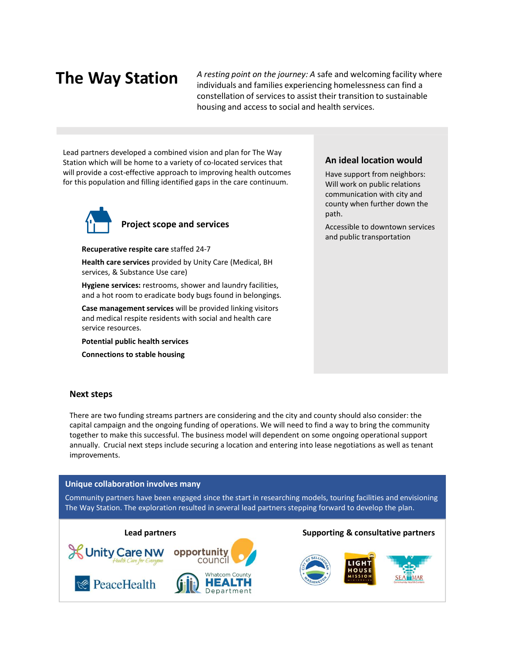# The Way Station

A resting point on the journey: A safe and welcoming facility where individuals and families experiencing homelessness can find a constellation of services to assist their transition to sustainable housing and access to social and health services.

Lead partners developed a combined vision and plan for The Way Station which will be home to a variety of co-located services that will provide a cost-effective approach to improving health outcomes for this population and filling identified gaps in the care continuum.



Project scope and services

Recuperative respite care staffed 24-7

Health care services provided by Unity Care (Medical, BH services, & Substance Use care)

Hygiene services: restrooms, shower and laundry facilities, and a hot room to eradicate body bugs found in belongings.

Case management services will be provided linking visitors and medical respite residents with social and health care service resources.

Potential public health services

Connections to stable housing

### An ideal location would

Have support from neighbors: Will work on public relations communication with city and county when further down the path.

Accessible to downtown services and public transportation

#### Next steps

There are two funding streams partners are considering and the city and county should also consider: the capital campaign and the ongoing funding of operations. We will need to find a way to bring the community together to make this successful. The business model will dependent on some ongoing operational support annually. Crucial next steps include securing a location and entering into lease negotiations as well as tenant improvements.

#### Unique collaboration involves many

Community partners have been engaged since the start in researching models, touring facilities and envisioning The Way Station. The exploration resulted in several lead partners stepping forward to develop the plan.